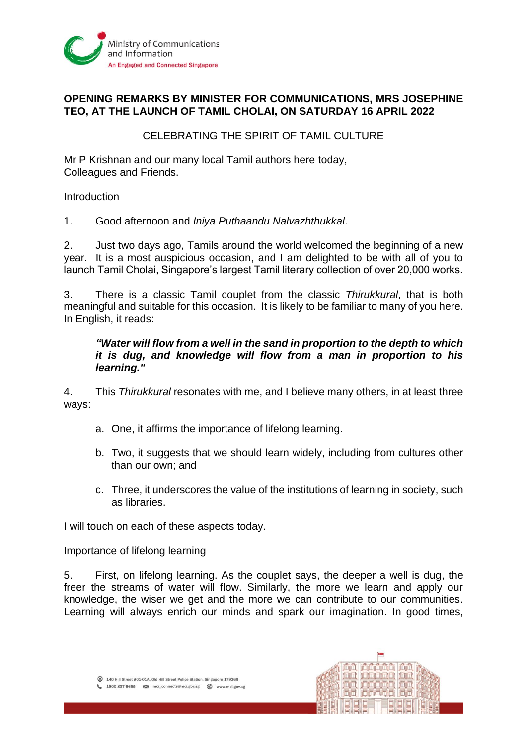

# **OPENING REMARKS BY MINISTER FOR COMMUNICATIONS, MRS JOSEPHINE TEO, AT THE LAUNCH OF TAMIL CHOLAI, ON SATURDAY 16 APRIL 2022**

## CELEBRATING THE SPIRIT OF TAMIL CULTURE

Mr P Krishnan and our many local Tamil authors here today, Colleagues and Friends.

#### Introduction

1. Good afternoon and *Iniya Puthaandu Nalvazhthukkal*.

2. Just two days ago, Tamils around the world welcomed the beginning of a new year. It is a most auspicious occasion, and I am delighted to be with all of you to launch Tamil Cholai, Singapore's largest Tamil literary collection of over 20,000 works.

3. There is a classic Tamil couplet from the classic *Thirukkural*, that is both meaningful and suitable for this occasion. It is likely to be familiar to many of you here. In English, it reads:

## *"Water will flow from a well in the sand in proportion to the depth to which it is dug, and knowledge will flow from a man in proportion to his learning."*

4. This *Thirukkural* resonates with me, and I believe many others, in at least three ways:

- a. One, it affirms the importance of lifelong learning.
- b. Two, it suggests that we should learn widely, including from cultures other than our own; and
- c. Three, it underscores the value of the institutions of learning in society, such as libraries.

I will touch on each of these aspects today.

#### Importance of lifelong learning

5. First, on lifelong learning. As the couplet says, the deeper a well is dug, the freer the streams of water will flow. Similarly, the more we learn and apply our knowledge, the wiser we get and the more we can contribute to our communities. Learning will always enrich our minds and spark our imagination. In good times,

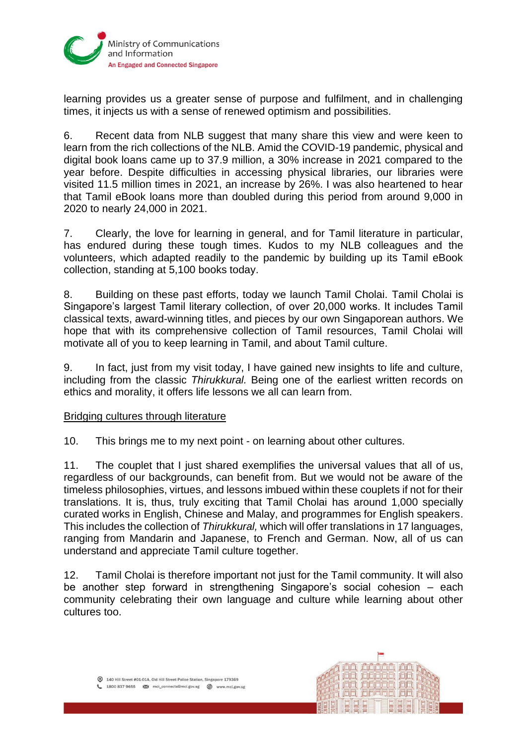

learning provides us a greater sense of purpose and fulfilment, and in challenging times, it injects us with a sense of renewed optimism and possibilities.

6. Recent data from NLB suggest that many share this view and were keen to learn from the rich collections of the NLB. Amid the COVID-19 pandemic, physical and digital book loans came up to 37.9 million, a 30% increase in 2021 compared to the year before. Despite difficulties in accessing physical libraries, our libraries were visited 11.5 million times in 2021, an increase by 26%. I was also heartened to hear that Tamil eBook loans more than doubled during this period from around 9,000 in 2020 to nearly 24,000 in 2021.

7. Clearly, the love for learning in general, and for Tamil literature in particular, has endured during these tough times. Kudos to my NLB colleagues and the volunteers, which adapted readily to the pandemic by building up its Tamil eBook collection, standing at 5,100 books today.

8. Building on these past efforts, today we launch Tamil Cholai. Tamil Cholai is Singapore's largest Tamil literary collection, of over 20,000 works. It includes Tamil classical texts, award-winning titles, and pieces by our own Singaporean authors. We hope that with its comprehensive collection of Tamil resources, Tamil Cholai will motivate all of you to keep learning in Tamil, and about Tamil culture.

9. In fact, just from my visit today, I have gained new insights to life and culture, including from the classic *Thirukkural.* Being one of the earliest written records on ethics and morality, it offers life lessons we all can learn from.

## Bridging cultures through literature

10. This brings me to my next point - on learning about other cultures.

11. The couplet that I just shared exemplifies the universal values that all of us, regardless of our backgrounds, can benefit from. But we would not be aware of the timeless philosophies, virtues, and lessons imbued within these couplets if not for their translations. It is, thus, truly exciting that Tamil Cholai has around 1,000 specially curated works in English, Chinese and Malay, and programmes for English speakers. This includes the collection of *Thirukkural,* which will offer translations in 17 languages, ranging from Mandarin and Japanese, to French and German. Now, all of us can understand and appreciate Tamil culture together.

12. Tamil Cholai is therefore important not just for the Tamil community. It will also be another step forward in strengthening Singapore's social cohesion – each community celebrating their own language and culture while learning about other cultures too.

140 Hill Street #01-01A, Old Hill Street Police Station, Singapore 179369 1800 837 9655 EM mci connects@mci.gov.sg @ www.mci.gov.sg

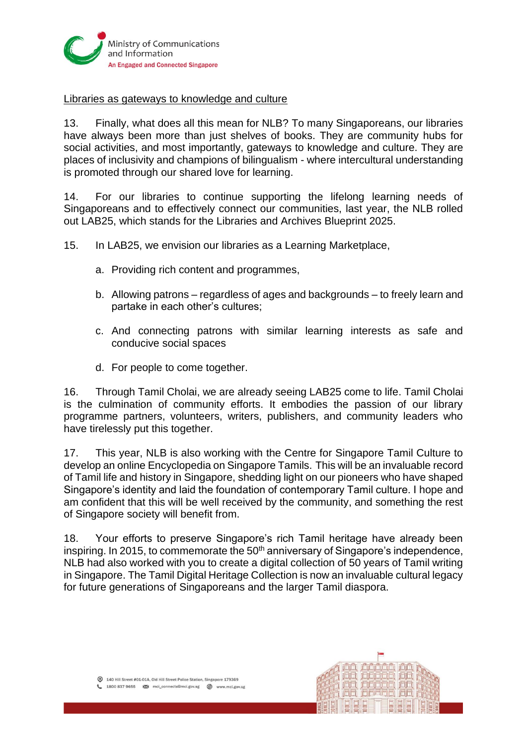

### Libraries as gateways to knowledge and culture

13. Finally, what does all this mean for NLB? To many Singaporeans, our libraries have always been more than just shelves of books. They are community hubs for social activities, and most importantly, gateways to knowledge and culture. They are places of inclusivity and champions of bilingualism - where intercultural understanding is promoted through our shared love for learning.

14. For our libraries to continue supporting the lifelong learning needs of Singaporeans and to effectively connect our communities, last year, the NLB rolled out LAB25, which stands for the Libraries and Archives Blueprint 2025.

15. In LAB25, we envision our libraries as a Learning Marketplace,

- a. Providing rich content and programmes,
- b. Allowing patrons regardless of ages and backgrounds to freely learn and partake in each other's cultures;
- c. And connecting patrons with similar learning interests as safe and conducive social spaces
- d. For people to come together.

16. Through Tamil Cholai, we are already seeing LAB25 come to life. Tamil Cholai is the culmination of community efforts. It embodies the passion of our library programme partners, volunteers, writers, publishers, and community leaders who have tirelessly put this together.

17. This year, NLB is also working with the Centre for Singapore Tamil Culture to develop an online Encyclopedia on Singapore Tamils. This will be an invaluable record of Tamil life and history in Singapore, shedding light on our pioneers who have shaped Singapore's identity and laid the foundation of contemporary Tamil culture. I hope and am confident that this will be well received by the community, and something the rest of Singapore society will benefit from.

18. Your efforts to preserve Singapore's rich Tamil heritage have already been inspiring. In 2015, to commemorate the  $50<sup>th</sup>$  anniversary of Singapore's independence, NLB had also worked with you to create a digital collection of 50 years of Tamil writing in Singapore. The Tamil Digital Heritage Collection is now an invaluable cultural legacy for future generations of Singaporeans and the larger Tamil diaspora.